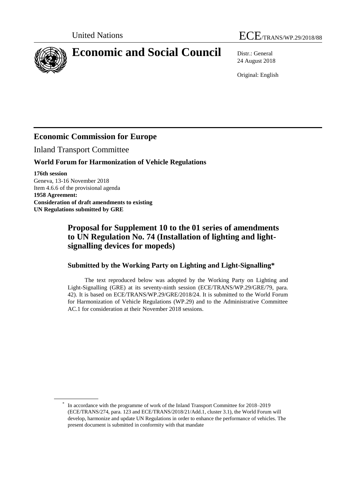

# **Economic and Social Council** Distr.: General

24 August 2018

Original: English

## **Economic Commission for Europe**

Inland Transport Committee

#### **World Forum for Harmonization of Vehicle Regulations**

**176th session** Geneva, 13-16 November 2018 Item 4.6.6 of the provisional agenda **1958 Agreement: Consideration of draft amendments to existing UN Regulations submitted by GRE**

## **Proposal for Supplement 10 to the 01 series of amendments to UN Regulation No. 74 (Installation of lighting and lightsignalling devices for mopeds)**

#### **Submitted by the Working Party on Lighting and Light-Signalling\***

The text reproduced below was adopted by the Working Party on Lighting and Light-Signalling (GRE) at its seventy-ninth session (ECE/TRANS/WP.29/GRE/79, para. 42). It is based on ECE/TRANS/WP.29/GRE/2018/24. It is submitted to the World Forum for Harmonization of Vehicle Regulations (WP.29) and to the Administrative Committee AC.1 for consideration at their November 2018 sessions.

<sup>\*</sup> In accordance with the programme of work of the Inland Transport Committee for 2018–2019 (ECE/TRANS/274, para. 123 and ECE/TRANS/2018/21/Add.1, cluster 3.1), the World Forum will develop, harmonize and update UN Regulations in order to enhance the performance of vehicles. The present document is submitted in conformity with that mandate